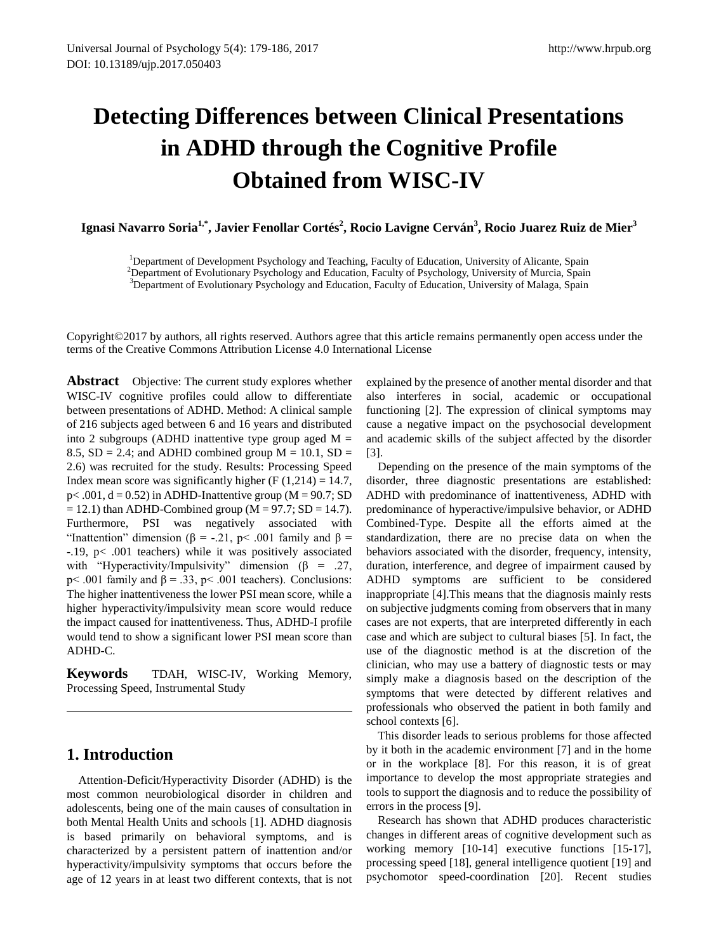# **Detecting Differences between Clinical Presentations in ADHD through the Cognitive Profile Obtained from WISC-IV**

Ignasi Navarro Soria<sup>1,</sup>\*, Javier Fenollar Cortés<sup>2</sup>, Rocio Lavigne Cerván<sup>3</sup>, Rocio Juarez Ruiz de Mier<sup>3</sup>

<sup>1</sup>Department of Development Psychology and Teaching, Faculty of Education, University of Alicante, Spain<sup>2</sup><br><sup>2</sup>Department of Euclidianary Baychology and Education, Faculty of Baychology, University of Murcia, Spain

<sup>2</sup>Department of Evolutionary Psychology and Education, Faculty of Psychology, University of Murcia, Spain <sup>3</sup>Department of Evolutionary Psychology and Education, Faculty of Education, University of Malaga, Spain

Copyright©2017 by authors, all rights reserved. Authors agree that this article remains permanently open access under the terms of the Creative Commons Attribution License 4.0 International License

**Abstract** Objective: The current study explores whether WISC-IV cognitive profiles could allow to differentiate between presentations of ADHD. Method: A clinical sample of 216 subjects aged between 6 and 16 years and distributed into 2 subgroups (ADHD inattentive type group aged  $M =$ 8.5,  $SD = 2.4$ ; and ADHD combined group  $M = 10.1$ ,  $SD =$ 2.6) was recruited for the study. Results: Processing Speed Index mean score was significantly higher (F  $(1,214) = 14.7$ ,  $p<.001$ ,  $d = 0.52$ ) in ADHD-Inattentive group (M = 90.7; SD  $= 12.1$ ) than ADHD-Combined group (M = 97.7; SD = 14.7). Furthermore, PSI was negatively associated with "Inattention" dimension ( $\beta$  = -.21, p< .001 family and  $\beta$  = -.19, p< .001 teachers) while it was positively associated with "Hyperactivity/Impulsivity" dimension ( $\beta$  = .27, p< .001 family and  $\beta$  = .33, p< .001 teachers). Conclusions: The higher inattentiveness the lower PSI mean score, while a higher hyperactivity/impulsivity mean score would reduce the impact caused for inattentiveness. Thus, ADHD-I profile would tend to show a significant lower PSI mean score than ADHD-C.

**Keywords** TDAH, WISC-IV, Working Memory, Processing Speed, Instrumental Study

# **1. Introduction**

Attention-Deficit/Hyperactivity Disorder (ADHD) is the most common neurobiological disorder in children and adolescents, being one of the main causes of consultation in both Mental Health Units and schools [1]. ADHD diagnosis is based primarily on behavioral symptoms, and is characterized by a persistent pattern of inattention and/or hyperactivity/impulsivity symptoms that occurs before the age of 12 years in at least two different contexts, that is not explained by the presence of another mental disorder and that also interferes in social, academic or occupational functioning [2]. The expression of clinical symptoms may cause a negative impact on the psychosocial development and academic skills of the subject affected by the disorder [3].

Depending on the presence of the main symptoms of the disorder, three diagnostic presentations are established: ADHD with predominance of inattentiveness, ADHD with predominance of hyperactive/impulsive behavior, or ADHD Combined-Type. Despite all the efforts aimed at the standardization, there are no precise data on when the behaviors associated with the disorder, frequency, intensity, duration, interference, and degree of impairment caused by ADHD symptoms are sufficient to be considered inappropriate [4].This means that the diagnosis mainly rests on subjective judgments coming from observers that in many cases are not experts, that are interpreted differently in each case and which are subject to cultural biases [5]. In fact, the use of the diagnostic method is at the discretion of the clinician, who may use a battery of diagnostic tests or may simply make a diagnosis based on the description of the symptoms that were detected by different relatives and professionals who observed the patient in both family and school contexts [6].

This disorder leads to serious problems for those affected by it both in the academic environment [7] and in the home or in the workplace [8]. For this reason, it is of great importance to develop the most appropriate strategies and tools to support the diagnosis and to reduce the possibility of errors in the process [9].

Research has shown that ADHD produces characteristic changes in different areas of cognitive development such as working memory [10-14] executive functions [15-17], processing speed [18], general intelligence quotient [19] and psychomotor speed-coordination [20]. Recent studies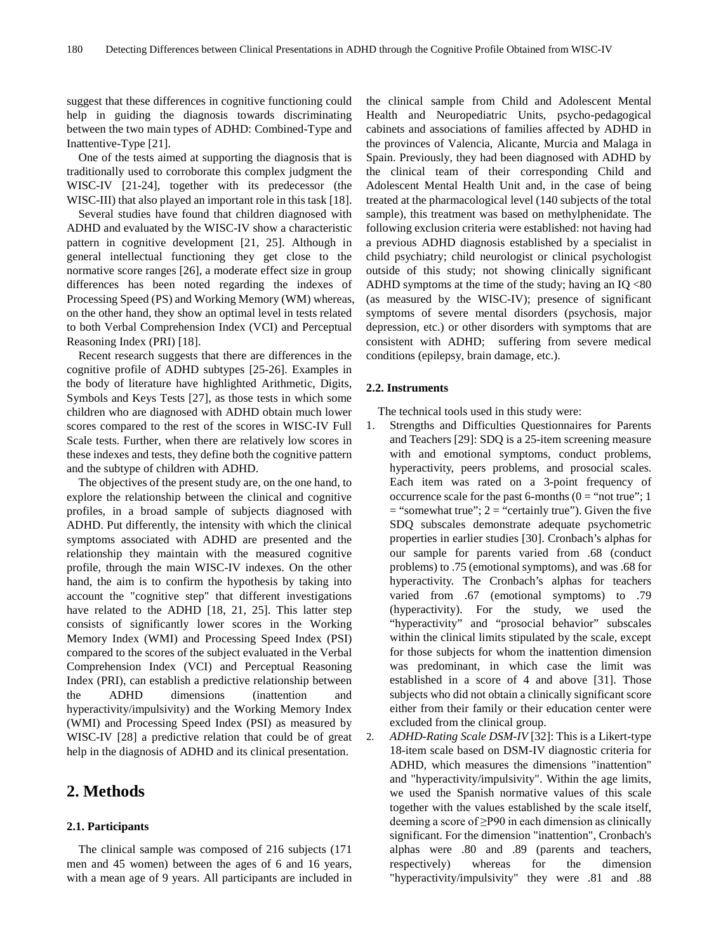suggest that these differences in cognitive functioning could help in guiding the diagnosis towards discriminating between the two main types of ADHD: Combined-Type and Inattentive-Type [21].

One of the tests aimed at supporting the diagnosis that is traditionally used to corroborate this complex judgment the WISC-IV [21-24], together with its predecessor (the WISC-III) that also played an important role in this task [18].

Several studies have found that children diagnosed with ADHD and evaluated by the WISC-IV show a characteristic pattern in cognitive development [21, 25]. Although in general intellectual functioning they get close to the normative score ranges [26], a moderate effect size in group differences has been noted regarding the indexes of Processing Speed (PS) and Working Memory (WM) whereas, on the other hand, they show an optimal level in tests related to both Verbal Comprehension Index (VCI) and Perceptual Reasoning Index (PRI) [18].

Recent research suggests that there are differences in the cognitive profile of ADHD subtypes [25-26]. Examples in the body of literature have highlighted Arithmetic, Digits, Symbols and Keys Tests [27], as those tests in which some children who are diagnosed with ADHD obtain much lower scores compared to the rest of the scores in WISC-IV Full Scale tests. Further, when there are relatively low scores in these indexes and tests, they define both the cognitive pattern and the subtype of children with ADHD.

The objectives of the present study are, on the one hand, to explore the relationship between the clinical and cognitive profiles, in a broad sample of subjects diagnosed with ADHD. Put differently, the intensity with which the clinical symptoms associated with ADHD are presented and the relationship they maintain with the measured cognitive profile, through the main WISC-IV indexes. On the other hand, the aim is to confirm the hypothesis by taking into account the "cognitive step" that different investigations have related to the ADHD [18, 21, 25]. This latter step consists of significantly lower scores in the Working Memory Index (WMI) and Processing Speed Index (PSI) compared to the scores of the subject evaluated in the Verbal Comprehension Index (VCI) and Perceptual Reasoning Index (PRI), can establish a predictive relationship between the ADHD dimensions (inattention and hyperactivity/impulsivity) and the Working Memory Index (WMI) and Processing Speed Index (PSI) as measured by WISC-IV [28] a predictive relation that could be of great help in the diagnosis of ADHD and its clinical presentation.

## **2. Methods**

#### **2.1. Participants**

The clinical sample was composed of 216 subjects (171 men and 45 women) between the ages of 6 and 16 years, with a mean age of 9 years. All participants are included in the clinical sample from Child and Adolescent Mental Health and Neuropediatric Units, psycho-pedagogical cabinets and associations of families affected by ADHD in the provinces of Valencia, Alicante, Murcia and Malaga in Spain. Previously, they had been diagnosed with ADHD by the clinical team of their corresponding Child and Adolescent Mental Health Unit and, in the case of being treated at the pharmacological level (140 subjects of the total sample), this treatment was based on methylphenidate. The following exclusion criteria were established: not having had a previous ADHD diagnosis established by a specialist in child psychiatry; child neurologist or clinical psychologist outside of this study; not showing clinically significant ADHD symptoms at the time of the study; having an  $IO < 80$ (as measured by the WISC-IV); presence of significant symptoms of severe mental disorders (psychosis, major depression, etc.) or other disorders with symptoms that are consistent with ADHD; suffering from severe medical conditions (epilepsy, brain damage, etc.).

#### **2.2. Instruments**

The technical tools used in this study were:

- 1. Strengths and Difficulties Questionnaires for Parents and Teachers [29]: SDQ is a 25-item screening measure with and emotional symptoms, conduct problems, hyperactivity, peers problems, and prosocial scales. Each item was rated on a 3-point frequency of occurrence scale for the past 6-months ( $0 =$  "not true"; 1  $=$  "somewhat true";  $2 =$  "certainly true"). Given the five SDQ subscales demonstrate adequate psychometric properties in earlier studies [30]. Cronbach's alphas for our sample for parents varied from .68 (conduct problems) to .75 (emotional symptoms), and was .68 for hyperactivity. The Cronbach's alphas for teachers varied from .67 (emotional symptoms) to .79 (hyperactivity). For the study, we used the "hyperactivity" and "prosocial behavior" subscales within the clinical limits stipulated by the scale, except for those subjects for whom the inattention dimension was predominant, in which case the limit was established in a score of 4 and above [31]. Those subjects who did not obtain a clinically significant score either from their family or their education center were excluded from the clinical group.
- 2. *ADHD-Rating Scale DSM-IV* [32]: This is a Likert-type 18-item scale based on DSM-IV diagnostic criteria for ADHD, which measures the dimensions "inattention" and "hyperactivity/impulsivity". Within the age limits, we used the Spanish normative values of this scale together with the values established by the scale itself, deeming a score of  $\geq$ P90 in each dimension as clinically significant. For the dimension "inattention", Cronbach's alphas were .80 and .89 (parents and teachers, respectively) whereas for the dimension "hyperactivity/impulsivity" they were .81 and .88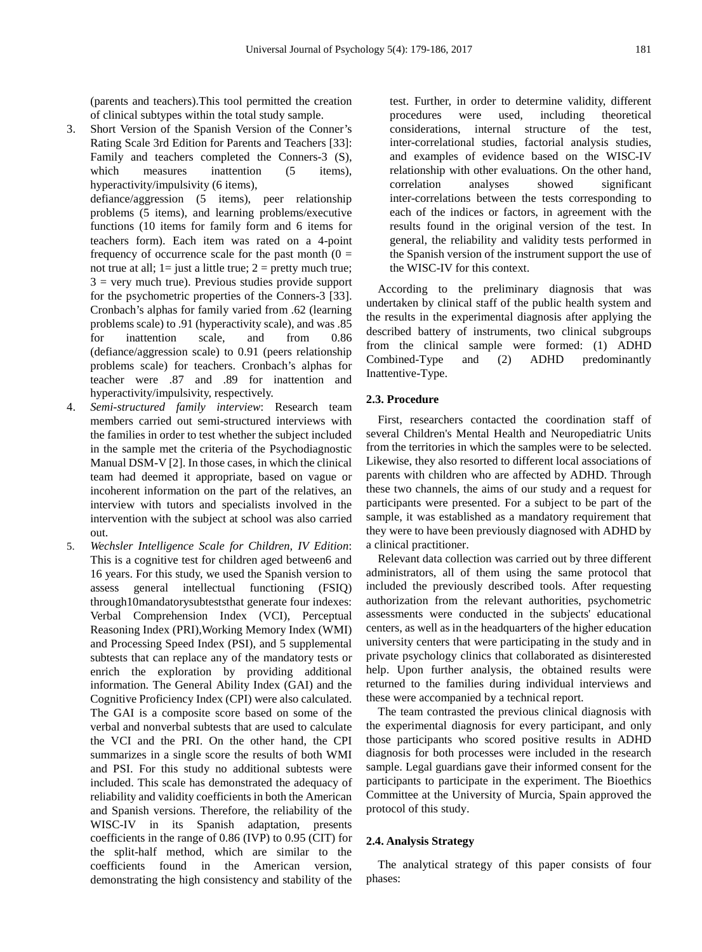(parents and teachers).This tool permitted the creation of clinical subtypes within the total study sample.

3. Short Version of the Spanish Version of the Conner's Rating Scale 3rd Edition for Parents and Teachers [33]: Family and teachers completed the Conners-3 (S), which measures inattention (5 items), hyperactivity/impulsivity (6 items),

defiance/aggression (5 items), peer relationship problems (5 items), and learning problems/executive functions (10 items for family form and 6 items for teachers form). Each item was rated on a 4-point frequency of occurrence scale for the past month  $(0 =$ not true at all;  $1=$  just a little true;  $2=$  pretty much true;  $3$  = very much true). Previous studies provide support for the psychometric properties of the Conners-3 [33]. Cronbach's alphas for family varied from .62 (learning problems scale) to .91 (hyperactivity scale), and was .85 for inattention scale, and from 0.86 (defiance/aggression scale) to 0.91 (peers relationship problems scale) for teachers. Cronbach's alphas for teacher were .87 and .89 for inattention and hyperactivity/impulsivity, respectively.

- 4. *Semi-structured family interview*: Research team members carried out semi-structured interviews with the families in order to test whether the subject included in the sample met the criteria of the Psychodiagnostic Manual DSM-V [2]. In those cases, in which the clinical team had deemed it appropriate, based on vague or incoherent information on the part of the relatives, an interview with tutors and specialists involved in the intervention with the subject at school was also carried out.
- 5. *Wechsler Intelligence Scale for Children, IV Edition*: This is a cognitive test for children aged between6 and 16 years. For this study, we used the Spanish version to assess general intellectual functioning (FSIQ) through10mandatorysubteststhat generate four indexes: Verbal Comprehension Index (VCI), Perceptual Reasoning Index (PRI),Working Memory Index (WMI) and Processing Speed Index (PSI), and 5 supplemental subtests that can replace any of the mandatory tests or enrich the exploration by providing additional information. The General Ability Index (GAI) and the Cognitive Proficiency Index (CPI) were also calculated. The GAI is a composite score based on some of the verbal and nonverbal subtests that are used to calculate the VCI and the PRI. On the other hand, the CPI summarizes in a single score the results of both WMI and PSI. For this study no additional subtests were included. This scale has demonstrated the adequacy of reliability and validity coefficients in both the American and Spanish versions. Therefore, the reliability of the WISC-IV in its Spanish adaptation, presents coefficients in the range of 0.86 (IVP) to 0.95 (CIT) for the split-half method, which are similar to the coefficients found in the American version, demonstrating the high consistency and stability of the

test. Further, in order to determine validity, different procedures were used, including theoretical considerations, internal structure of the test, inter-correlational studies, factorial analysis studies, and examples of evidence based on the WISC-IV relationship with other evaluations. On the other hand, correlation analyses showed significant inter-correlations between the tests corresponding to each of the indices or factors, in agreement with the results found in the original version of the test. In general, the reliability and validity tests performed in the Spanish version of the instrument support the use of the WISC-IV for this context.

According to the preliminary diagnosis that was undertaken by clinical staff of the public health system and the results in the experimental diagnosis after applying the described battery of instruments, two clinical subgroups from the clinical sample were formed: (1) ADHD Combined-Type and (2) ADHD predominantly Inattentive-Type.

### **2.3. Procedure**

First, researchers contacted the coordination staff of several Children's Mental Health and Neuropediatric Units from the territories in which the samples were to be selected. Likewise, they also resorted to different local associations of parents with children who are affected by ADHD. Through these two channels, the aims of our study and a request for participants were presented. For a subject to be part of the sample, it was established as a mandatory requirement that they were to have been previously diagnosed with ADHD by a clinical practitioner.

Relevant data collection was carried out by three different administrators, all of them using the same protocol that included the previously described tools. After requesting authorization from the relevant authorities, psychometric assessments were conducted in the subjects' educational centers, as well as in the headquarters of the higher education university centers that were participating in the study and in private psychology clinics that collaborated as disinterested help. Upon further analysis, the obtained results were returned to the families during individual interviews and these were accompanied by a technical report.

The team contrasted the previous clinical diagnosis with the experimental diagnosis for every participant, and only those participants who scored positive results in ADHD diagnosis for both processes were included in the research sample. Legal guardians gave their informed consent for the participants to participate in the experiment. The Bioethics Committee at the University of Murcia, Spain approved the protocol of this study.

#### **2.4. Analysis Strategy**

The analytical strategy of this paper consists of four phases: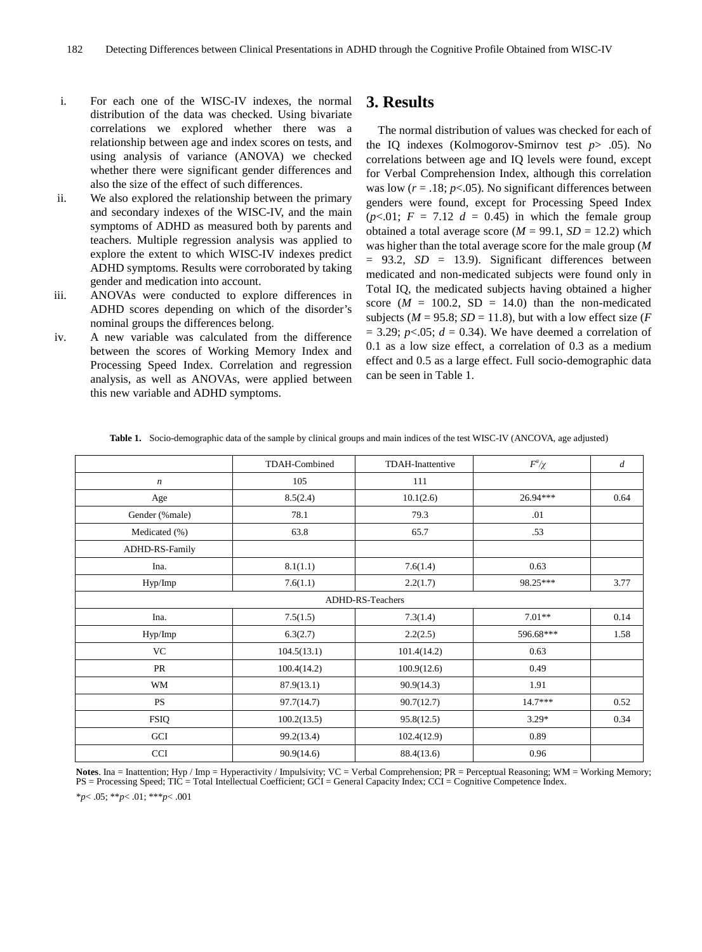- i. For each one of the WISC-IV indexes, the normal distribution of the data was checked. Using bivariate correlations we explored whether there was a relationship between age and index scores on tests, and using analysis of variance (ANOVA) we checked whether there were significant gender differences and also the size of the effect of such differences.
- ii. We also explored the relationship between the primary and secondary indexes of the WISC-IV, and the main symptoms of ADHD as measured both by parents and teachers. Multiple regression analysis was applied to explore the extent to which WISC-IV indexes predict ADHD symptoms. Results were corroborated by taking gender and medication into account.
- iii. ANOVAs were conducted to explore differences in ADHD scores depending on which of the disorder's nominal groups the differences belong.
- iv. A new variable was calculated from the difference between the scores of Working Memory Index and Processing Speed Index. Correlation and regression analysis, as well as ANOVAs, were applied between this new variable and ADHD symptoms.

# **3. Results**

The normal distribution of values was checked for each of the IQ indexes (Kolmogorov-Smirnov test *p*> .05). No correlations between age and IQ levels were found, except for Verbal Comprehension Index, although this correlation was low  $(r = .18; p < .05)$ . No significant differences between genders were found, except for Processing Speed Index  $(p<.01; F = 7.12 d = 0.45)$  in which the female group obtained a total average score  $(M = 99.1, SD = 12.2)$  which was higher than the total average score for the male group (*M*  $= 93.2$ ,  $SD = 13.9$ . Significant differences between medicated and non-medicated subjects were found only in Total IQ, the medicated subjects having obtained a higher score  $(M = 100.2, SD = 14.0)$  than the non-medicated subjects ( $M = 95.8$ ;  $SD = 11.8$ ), but with a low effect size (*F*  $= 3.29$ ; *p*<.05; *d* = 0.34). We have deemed a correlation of 0.1 as a low size effect, a correlation of 0.3 as a medium effect and 0.5 as a large effect. Full socio-demographic data can be seen in Table 1.

|                   | <b>TDAH-Combined</b> | <b>TDAH-Inattentive</b> | $F^a \chi$ | $\overline{d}$ |  |  |  |  |
|-------------------|----------------------|-------------------------|------------|----------------|--|--|--|--|
| $\boldsymbol{n}$  | 105                  | 111                     |            |                |  |  |  |  |
| Age               | 8.5(2.4)             | 10.1(2.6)               | $26.94***$ | 0.64           |  |  |  |  |
| Gender (%male)    | 78.1                 | 79.3                    | .01        |                |  |  |  |  |
| Medicated (%)     | 63.8                 | 65.7                    | .53        |                |  |  |  |  |
| ADHD-RS-Family    |                      |                         |            |                |  |  |  |  |
| 8.1(1.1)<br>Ina.  |                      | 7.6(1.4)                | 0.63       |                |  |  |  |  |
| Hyp/Imp           | 7.6(1.1)             | 2.2(1.7)                | 98.25***   | 3.77           |  |  |  |  |
| ADHD-RS-Teachers  |                      |                         |            |                |  |  |  |  |
| Ina.              | 7.5(1.5)             | 7.3(1.4)                | $7.01**$   | 0.14           |  |  |  |  |
| Hyp/Imp           | 6.3(2.7)             | 2.2(2.5)                | 596.68***  | 1.58           |  |  |  |  |
| <b>VC</b>         | 104.5(13.1)          | 101.4(14.2)             | 0.63       |                |  |  |  |  |
| PR<br>100.4(14.2) |                      | 100.9(12.6)             | 0.49       |                |  |  |  |  |
| WM                | 87.9(13.1)           | 90.9(14.3)              | 1.91       |                |  |  |  |  |
| <b>PS</b>         | 97.7(14.7)           | 90.7(12.7)              | $14.7***$  | 0.52           |  |  |  |  |
| <b>FSIQ</b>       | 100.2(13.5)          | 95.8(12.5)              | $3.29*$    | 0.34           |  |  |  |  |
| GCI               | 99.2(13.4)           | 102.4(12.9)             | 0.89       |                |  |  |  |  |
| <b>CCI</b>        | 90.9(14.6)           | 88.4(13.6)              | 0.96       |                |  |  |  |  |

**Table 1.** Socio-demographic data of the sample by clinical groups and main indices of the test WISC-IV (ANCOVA, age adjusted)

Notes. Ina = Inattention; Hyp / Imp = Hyperactivity / Impulsivity; VC = Verbal Comprehension; PR = Perceptual Reasoning; WM = Working Memory;<br>PS = Processing Speed; TIC = Total Intellectual Coefficient; GCI = General Capac

\**p*< .05; \*\**p*< .01; \*\*\**p*< .001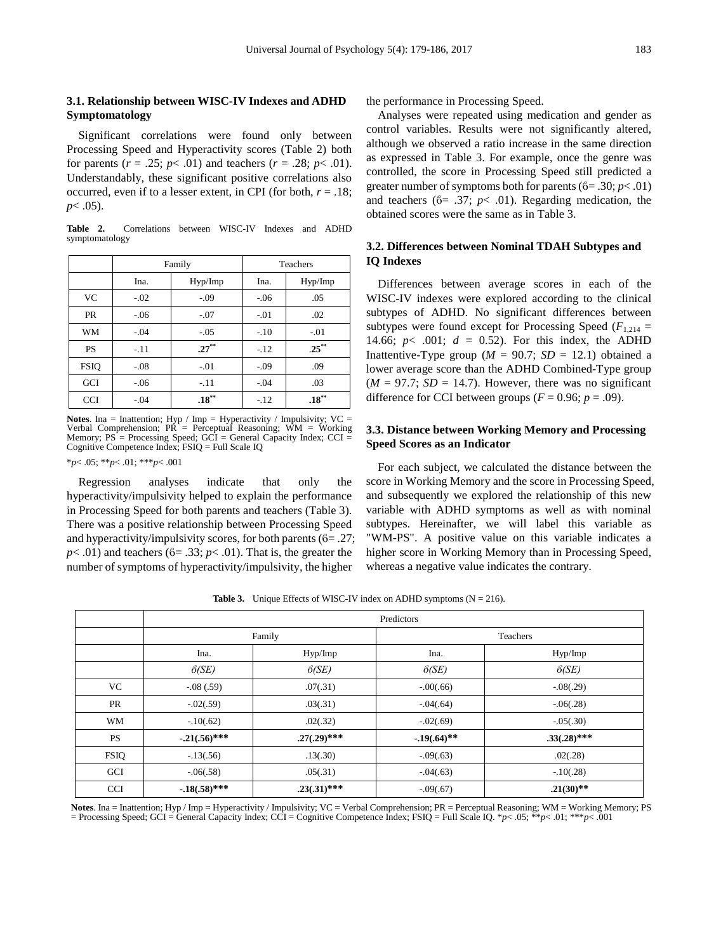## **3.1. Relationship between WISC-IV Indexes and ADHD Symptomatology**

Significant correlations were found only between Processing Speed and Hyperactivity scores (Table 2) both for parents ( $r = .25$ ;  $p < .01$ ) and teachers ( $r = .28$ ;  $p < .01$ ). Understandably, these significant positive correlations also occurred, even if to a lesser extent, in CPI (for both,  $r = .18$ ; *p*< .05).

**Table 2.** Correlations between WISC-IV Indexes and ADHD symptomatology

|             | Family |          | <b>Teachers</b> |          |
|-------------|--------|----------|-----------------|----------|
|             | Ina.   | Hyp/Imp  | Ina.            | Hyp/Imp  |
| <b>VC</b>   | $-.02$ | $-.09$   | $-.06$          | .05      |
| <b>PR</b>   | $-.06$ | $-.07$   | $-.01$          | .02      |
| WM          | $-.04$ | $-.05$   | $-.10$          | $-.01$   |
| <b>PS</b>   | $-.11$ | $.27***$ | $-.12$          | $.25***$ |
| <b>FSIQ</b> | $-.08$ | $-.01$   | $-.09$          | .09      |
| <b>GCI</b>  | $-.06$ | $-.11$   | $-.04$          | .03      |
| <b>CCI</b>  | $-.04$ | $.18***$ | $-.12$          | $.18***$ |

**Notes**. Ina = Inattention; Hyp / Imp = Hyperactivity / Impulsivity; VC = Verbal Comprehension; PR = Perceptual Reasoning; WM = Working Memory;  $PS = Processing Speed$ ;  $GCI = General Capacity Index$ ;  $CCI =$ Cognitive Competence Index; FSIQ = Full Scale IQ

\**p*< .05; \*\**p*< .01; \*\*\**p*< .001

Regression analyses indicate that only the hyperactivity/impulsivity helped to explain the performance in Processing Speed for both parents and teachers (Table 3). There was a positive relationship between Processing Speed and hyperactivity/impulsivity scores, for both parents ( $6 = .27$ ;  $p$ < .01) and teachers ( $6=$  .33;  $p$ < .01). That is, the greater the number of symptoms of hyperactivity/impulsivity, the higher

the performance in Processing Speed.

Analyses were repeated using medication and gender as control variables. Results were not significantly altered, although we observed a ratio increase in the same direction as expressed in Table 3. For example, once the genre was controlled, the score in Processing Speed still predicted a greater number of symptoms both for parents (ϐ= .30; *p*< .01) and teachers  $(6= .37; p< .01)$ . Regarding medication, the obtained scores were the same as in Table 3.

## **3.2. Differences between Nominal TDAH Subtypes and IQ Indexes**

Differences between average scores in each of the WISC-IV indexes were explored according to the clinical subtypes of ADHD. No significant differences between subtypes were found except for Processing Speed ( $F_{1,214}$  = 14.66;  $p$ < .001;  $d = 0.52$ ). For this index, the ADHD Inattentive-Type group ( $M = 90.7$ ;  $SD = 12.1$ ) obtained a lower average score than the ADHD Combined-Type group  $(M = 97.7; SD = 14.7)$ . However, there was no significant difference for CCI between groups ( $F = 0.96$ ;  $p = .09$ ).

#### **3.3. Distance between Working Memory and Processing Speed Scores as an Indicator**

For each subject, we calculated the distance between the score in Working Memory and the score in Processing Speed, and subsequently we explored the relationship of this new variable with ADHD symptoms as well as with nominal subtypes. Hereinafter, we will label this variable as "WM-PS". A positive value on this variable indicates a higher score in Working Memory than in Processing Speed, whereas a negative value indicates the contrary.

**Table 3.** Unique Effects of WISC-IV index on ADHD symptoms  $(N = 216)$ .

|             | Predictors        |                |                |                |  |  |  |
|-------------|-------------------|----------------|----------------|----------------|--|--|--|
|             | Family            |                | Teachers       |                |  |  |  |
|             | Ina.              | Hyp/Imp        | Ina.           | Hyp/Imp        |  |  |  |
|             | 6(SE)             | 6(SE)          | 6(SE)          | 6(SE)          |  |  |  |
| VC          | $-.08(.59)$       | .07(.31)       | $-.00(.66)$    | $-0.08(0.29)$  |  |  |  |
| PR          | $-0.02(0.59)$     | .03(.31)       | $-0.04(0.64)$  | $-0.06(0.28)$  |  |  |  |
| WM          | $-.10(.62)$       | .02(.32)       | $-.02(.69)$    | $-0.5(0.30)$   |  |  |  |
| <b>PS</b>   | $-0.21(0.56)$ *** | $.27(.29)$ *** | $-.19(.64)$ ** | $.33(.28)$ *** |  |  |  |
| <b>FSIQ</b> | $-13(.56)$        | .13(.30)       | $-.09(.63)$    | .02(.28)       |  |  |  |
| GCI         | $-0.06(0.58)$     | .05(.31)       | $-.04(.63)$    | $-10(.28)$     |  |  |  |
| <b>CCI</b>  | $-.18(.58)$ ***   | $.23(.31)$ *** | $-.09(.67)$    | $.21(30)$ **   |  |  |  |

**Notes**. Ina = Inattention; Hyp / Imp = Hyperactivity / Impulsivity; VC = Verbal Comprehension; PR = Perceptual Reasoning; WM = Working Memory; PS = Processing Speed: GCI = General Capacity Index: CCI = Cognitive Competenc = Processing Speed; GCI = General Capacity Index; CCI = Cognitive Competence Index; FSIQ = Full Scale IQ. \**p*< .05; \*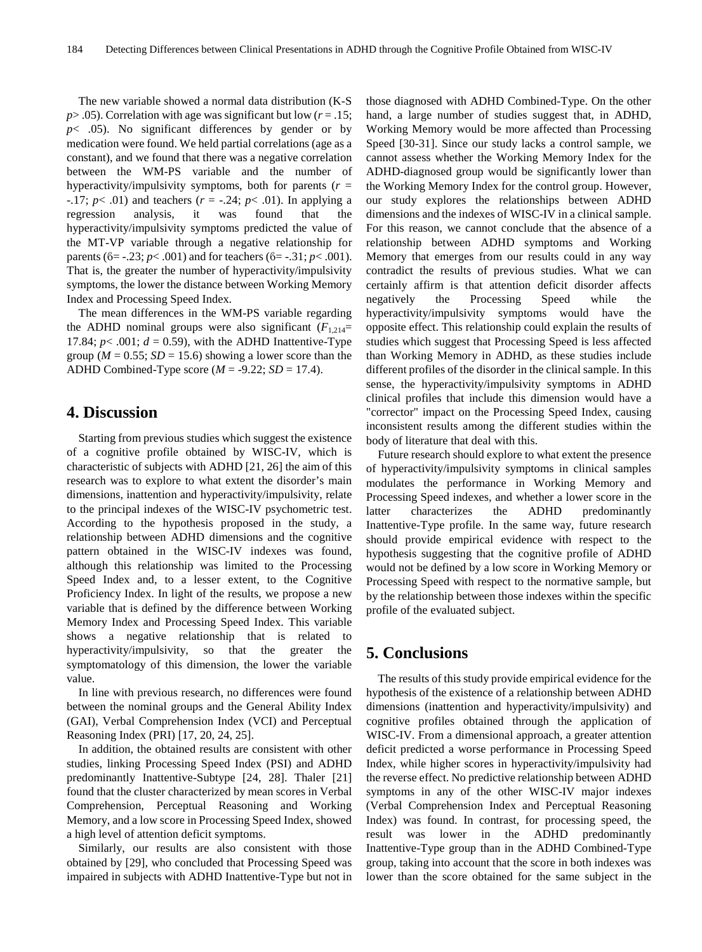The new variable showed a normal data distribution (K-S  $p$  > .05). Correlation with age was significant but low ( $r = .15$ ;  $p$ < .05). No significant differences by gender or by medication were found. We held partial correlations (age as a constant), and we found that there was a negative correlation between the WM-PS variable and the number of hyperactivity/impulsivity symptoms, both for parents  $(r =$ -.17;  $p$ < .01) and teachers  $(r = -.24; p < .01)$ . In applying a regression analysis, it was found that the hyperactivity/impulsivity symptoms predicted the value of the MT-VP variable through a negative relationship for parents (ϐ= -.23; *p*< .001) and for teachers (ϐ= -.31; *p*< .001). That is, the greater the number of hyperactivity/impulsivity symptoms, the lower the distance between Working Memory Index and Processing Speed Index.

The mean differences in the WM-PS variable regarding the ADHD nominal groups were also significant  $(F_{1,214} =$ 17.84;  $p$ < .001;  $d = 0.59$ ), with the ADHD Inattentive-Type group ( $M = 0.55$ ;  $SD = 15.6$ ) showing a lower score than the ADHD Combined-Type score  $(M = -9.22; SD = 17.4)$ .

## **4. Discussion**

Starting from previous studies which suggest the existence of a cognitive profile obtained by WISC-IV, which is characteristic of subjects with ADHD [21, 26] the aim of this research was to explore to what extent the disorder's main dimensions, inattention and hyperactivity/impulsivity, relate to the principal indexes of the WISC-IV psychometric test. According to the hypothesis proposed in the study, a relationship between ADHD dimensions and the cognitive pattern obtained in the WISC-IV indexes was found, although this relationship was limited to the Processing Speed Index and, to a lesser extent, to the Cognitive Proficiency Index. In light of the results, we propose a new variable that is defined by the difference between Working Memory Index and Processing Speed Index. This variable shows a negative relationship that is related to hyperactivity/impulsivity, so that the greater the symptomatology of this dimension, the lower the variable value.

In line with previous research, no differences were found between the nominal groups and the General Ability Index (GAI), Verbal Comprehension Index (VCI) and Perceptual Reasoning Index (PRI) [17, 20, 24, 25].

In addition, the obtained results are consistent with other studies, linking Processing Speed Index (PSI) and ADHD predominantly Inattentive-Subtype [24, 28]. Thaler [21] found that the cluster characterized by mean scores in Verbal Comprehension, Perceptual Reasoning and Working Memory, and a low score in Processing Speed Index, showed a high level of attention deficit symptoms.

Similarly, our results are also consistent with those obtained by [29], who concluded that Processing Speed was impaired in subjects with ADHD Inattentive-Type but not in

those diagnosed with ADHD Combined-Type. On the other hand, a large number of studies suggest that, in ADHD, Working Memory would be more affected than Processing Speed [30-31]. Since our study lacks a control sample, we cannot assess whether the Working Memory Index for the ADHD-diagnosed group would be significantly lower than the Working Memory Index for the control group. However, our study explores the relationships between ADHD dimensions and the indexes of WISC-IV in a clinical sample. For this reason, we cannot conclude that the absence of a relationship between ADHD symptoms and Working Memory that emerges from our results could in any way contradict the results of previous studies. What we can certainly affirm is that attention deficit disorder affects negatively the Processing Speed while the hyperactivity/impulsivity symptoms would have the opposite effect. This relationship could explain the results of studies which suggest that Processing Speed is less affected than Working Memory in ADHD, as these studies include different profiles of the disorder in the clinical sample. In this sense, the hyperactivity/impulsivity symptoms in ADHD clinical profiles that include this dimension would have a "corrector" impact on the Processing Speed Index, causing inconsistent results among the different studies within the body of literature that deal with this.

Future research should explore to what extent the presence of hyperactivity/impulsivity symptoms in clinical samples modulates the performance in Working Memory and Processing Speed indexes, and whether a lower score in the latter characterizes the ADHD predominantly Inattentive-Type profile. In the same way, future research should provide empirical evidence with respect to the hypothesis suggesting that the cognitive profile of ADHD would not be defined by a low score in Working Memory or Processing Speed with respect to the normative sample, but by the relationship between those indexes within the specific profile of the evaluated subject.

# **5. Conclusions**

The results of this study provide empirical evidence for the hypothesis of the existence of a relationship between ADHD dimensions (inattention and hyperactivity/impulsivity) and cognitive profiles obtained through the application of WISC-IV. From a dimensional approach, a greater attention deficit predicted a worse performance in Processing Speed Index, while higher scores in hyperactivity/impulsivity had the reverse effect. No predictive relationship between ADHD symptoms in any of the other WISC-IV major indexes (Verbal Comprehension Index and Perceptual Reasoning Index) was found. In contrast, for processing speed, the result was lower in the ADHD predominantly Inattentive-Type group than in the ADHD Combined-Type group, taking into account that the score in both indexes was lower than the score obtained for the same subject in the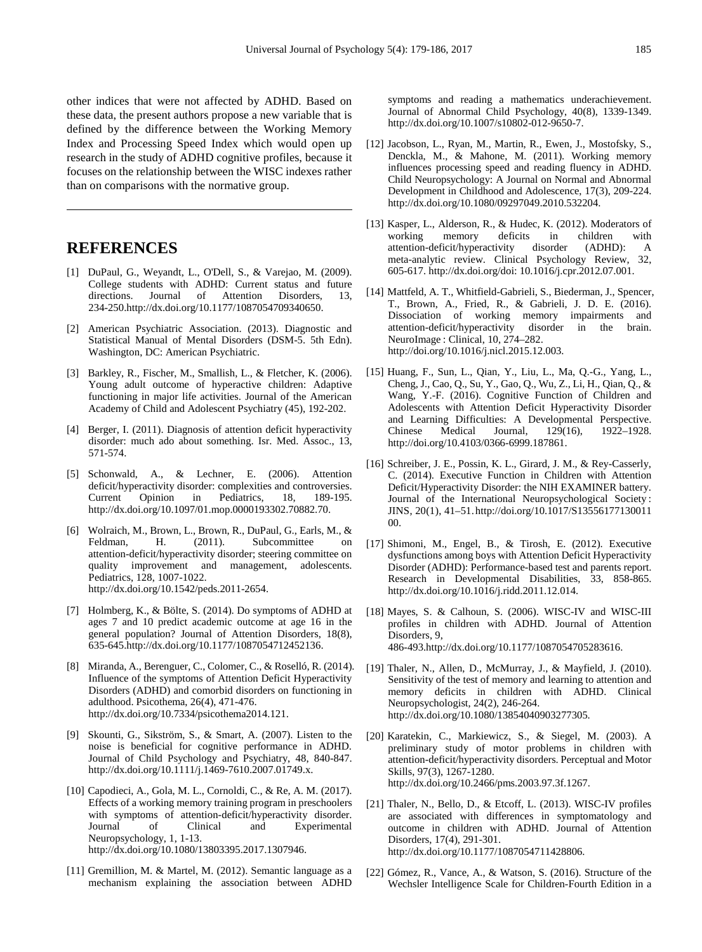other indices that were not affected by ADHD. Based on these data, the present authors propose a new variable that is defined by the difference between the Working Memory Index and Processing Speed Index which would open up research in the study of ADHD cognitive profiles, because it focuses on the relationship between the WISC indexes rather than on comparisons with the normative group.

# **REFERENCES**

- [1] DuPaul, G., Weyandt, L., O'Dell, S., & Varejao, M. (2009). College students with ADHD: Current status and future directions. Journal of Attention Disorders, 13, 234-250.http://dx.doi.org/10.1177/1087054709340650.
- [2] American Psychiatric Association. (2013). Diagnostic and Statistical Manual of Mental Disorders (DSM-5. 5th Edn). Washington, DC: American Psychiatric.
- [3] Barkley, R., Fischer, M., Smallish, L., & Fletcher, K. (2006). Young adult outcome of hyperactive children: Adaptive functioning in major life activities. Journal of the American Academy of Child and Adolescent Psychiatry (45), 192-202.
- [4] Berger, I. (2011). Diagnosis of attention deficit hyperactivity disorder: much ado about something. Isr. Med. Assoc., 13, 571-574.
- [5] Schonwald, A., & Lechner, E. (2006). Attention deficit/hyperactivity disorder: complexities and controversies. Current Opinion in Pediatrics, 18, 189-195. http://dx.doi.org/10.1097/01.mop.0000193302.70882.70.
- [6] Wolraich, M., Brown, L., Brown, R., DuPaul, G., Earls, M., & Feldman, H. (2011). Subcommittee on attention-deficit/hyperactivity disorder; steering committee on quality improvement and management, adolescents. Pediatrics, 128, 1007-1022. http://dx.doi.org/10.1542/peds.2011-2654.
- [7] Holmberg, K., & Bölte, S. (2014). Do symptoms of ADHD at ages 7 and 10 predict academic outcome at age 16 in the general population? Journal of Attention Disorders, 18(8), 635-645.http://dx.doi.org/10.1177/1087054712452136.
- [8] Miranda, A., Berenguer, C., Colomer, C., & Roselló, R. (2014). Influence of the symptoms of Attention Deficit Hyperactivity Disorders (ADHD) and comorbid disorders on functioning in adulthood. Psicothema, 26(4), 471-476. http://dx.doi.org/10.7334/psicothema2014.121.
- [9] Skounti, G., Sikström, S., & Smart, A. (2007). Listen to the noise is beneficial for cognitive performance in ADHD. Journal of Child Psychology and Psychiatry, 48, 840-847. http://dx.doi.org/10.1111/j.1469-7610.2007.01749.x.
- [10] Capodieci, A., Gola, M. L., Cornoldi, C., & Re, A. M. (2017). Effects of a working memory training program in preschoolers with symptoms of attention-deficit/hyperactivity disorder. Journal of Clinical and Experimental Neuropsychology, 1, 1-13. http://dx.doi.org/10.1080/13803395.2017.1307946.
- [11] Gremillion, M. & Martel, M. (2012). Semantic language as a mechanism explaining the association between ADHD

symptoms and reading a mathematics underachievement. Journal of Abnormal Child Psychology, 40(8), 1339-1349. http://dx.doi.org/10.1007/s10802-012-9650-7.

- [12] Jacobson, L., Ryan, M., Martin, R., Ewen, J., Mostofsky, S., Denckla, M., & Mahone, M. (2011). Working memory influences processing speed and reading fluency in ADHD. Child Neuropsychology: A Journal on Normal and Abnormal Development in Childhood and Adolescence, 17(3), 209-224. http://dx.doi.org/10.1080/09297049.2010.532204.
- [13] Kasper, L., Alderson, R., & Hudec, K. (2012). Moderators of working memory deficits in children with attention-deficit/hyperactivity disorder (ADHD): A meta-analytic review. Clinical Psychology Review, 32, 605-617. http://dx.doi.org/doi: 10.1016/j.cpr.2012.07.001.
- [14] Mattfeld, A. T., Whitfield-Gabrieli, S., Biederman, J., Spencer, T., Brown, A., Fried, R., & Gabrieli, J. D. E. (2016). Dissociation of working memory impairments and attention-deficit/hyperactivity disorder in the brain. NeuroImage : Clinical, 10, 274–282. http://doi.org/10.1016/j.nicl.2015.12.003.
- [15] Huang, F., Sun, L., Qian, Y., Liu, L., Ma, Q.-G., Yang, L., Cheng, J., Cao, Q., Su, Y., Gao, Q., Wu, Z., Li, H., Qian, Q., & Wang, Y.-F. (2016). Cognitive Function of Children and Adolescents with Attention Deficit Hyperactivity Disorder and Learning Difficulties: A Developmental Perspective. Chinese Medical Journal, 129(16), 1922–1928. http://doi.org/10.4103/0366-6999.187861.
- [16] Schreiber, J. E., Possin, K. L., Girard, J. M., & Rey-Casserly, C. (2014). Executive Function in Children with Attention Deficit/Hyperactivity Disorder: the NIH EXAMINER battery. Journal of the International Neuropsychological Society : JINS, 20(1), 41–51.http://doi.org/10.1017/S13556177130011 00.
- [17] Shimoni, M., Engel, B., & Tirosh, E. (2012). Executive dysfunctions among boys with Attention Deficit Hyperactivity Disorder (ADHD): Performance-based test and parents report. Research in Developmental Disabilities, 33, 858-865. http://dx.doi.org/10.1016/j.ridd.2011.12.014.
- [18] Mayes, S. & Calhoun, S. (2006). WISC-IV and WISC-III profiles in children with ADHD. Journal of Attention Disorders, 9, 486-493.http://dx.doi.org/10.1177/1087054705283616.
- [19] Thaler, N., Allen, D., McMurray, J., & Mayfield, J. (2010). Sensitivity of the test of memory and learning to attention and memory deficits in children with ADHD. Clinical Neuropsychologist, 24(2), 246-264. http://dx.doi.org/10.1080/13854040903277305.
- [20] Karatekin, C., Markiewicz, S., & Siegel, M. (2003). A preliminary study of motor problems in children with attention-deficit/hyperactivity disorders. Perceptual and Motor Skills, 97(3), 1267-1280. http://dx.doi.org/10.2466/pms.2003.97.3f.1267.
- [21] Thaler, N., Bello, D., & Etcoff, L. (2013). WISC-IV profiles are associated with differences in symptomatology and outcome in children with ADHD. Journal of Attention Disorders, 17(4), 291-301. http://dx.doi.org/10.1177/1087054711428806.
- [22] Gómez, R., Vance, A., & Watson, S. (2016). Structure of the Wechsler Intelligence Scale for Children-Fourth Edition in a